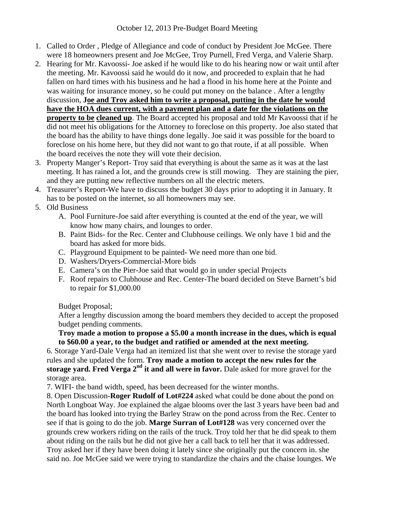- 1. Called to Order , Pledge of Allegiance and code of conduct by President Joe McGee. There were 18 homeowners present and Joe McGee, Troy Purnell, Fred Verga, and Valerie Sharp.
- 2. Hearing for Mr. Kavoossi- Joe asked if he would like to do his hearing now or wait until after the meeting. Mr. Kavoossi said he would do it now, and proceeded to explain that he had fallen on hard times with his business and he had a flood in his home here at the Pointe and was waiting for insurance money, so he could put money on the balance . After a lengthy discussion, **Joe and Troy asked him to write a proposal, putting in the date he would have the HOA dues current, with a payment plan and a date for the violations on the property to be cleaned up**. The Board accepted his proposal and told Mr Kavoossi that if he did not meet his obligations for the Attorney to foreclose on this property. Joe also stated that the board has the ability to have things done legally. Joe said it was possible for the board to foreclose on his home here, but they did not want to go that route, if at all possible. When the board receives the note they will vote their decision.
- 3. Property Manger's Report- Troy said that everything is about the same as it was at the last meeting. It has rained a lot, and the grounds crew is still mowing. They are staining the pier, and they are putting new reflective numbers on all the electric meters.
- 4. Treasurer's Report-We have to discuss the budget 30 days prior to adopting it in January. It has to be posted on the internet, so all homeowners may see.
- 5. Old Business
	- A. Pool Furniture-Joe said after everything is counted at the end of the year, we will know how many chairs, and lounges to order.
	- B. Paint Bids- for the Rec. Center and Clubhouse ceilings. We only have 1 bid and the board has asked for more bids.
	- C. Playground Equipment to be painted- We need more than one bid.
	- D. Washers/Dryers-Commercial-More bids
	- E. Camera's on the Pier-Joe said that would go in under special Projects
	- F. Roof repairs to Clubhouse and Rec. Center-The board decided on Steve Barnett's bid to repair for \$1,000.00

Budget Proposal;

After a lengthy discussion among the board members they decided to accept the proposed budget pending comments.

## **Troy made a motion to propose a \$5.00 a month increase in the dues, which is equal to \$60.00 a year, to the budget and ratified or amended at the next meeting.**

6. Storage Yard-Dale Verga had an itemized list that she went over to revise the storage yard rules and she updated the form. **Troy made a motion to accept the new rules for the**  storage vard. Fred Verga 2<sup>nd</sup> it and all were in favor. Dale asked for more gravel for the storage area.

7. WIFI- the band width, speed, has been decreased for the winter months.

8. Open Discussion-**Roger Rudolf of Lot#224** asked what could be done about the pond on North Longboat Way. Joe explained the algae blooms over the last 3 years have been bad and the board has looked into trying the Barley Straw on the pond across from the Rec. Center to see if that is going to do the job. **Marge Surran of Lot#128** was very concerned over the grounds crew workers riding on the rails of the truck. Troy told her that he did speak to them about riding on the rails but he did not give her a call back to tell her that it was addressed. Troy asked her if they have been doing it lately since she originally put the concern in. she said no. Joe McGee said we were trying to standardize the chairs and the chaise lounges. We